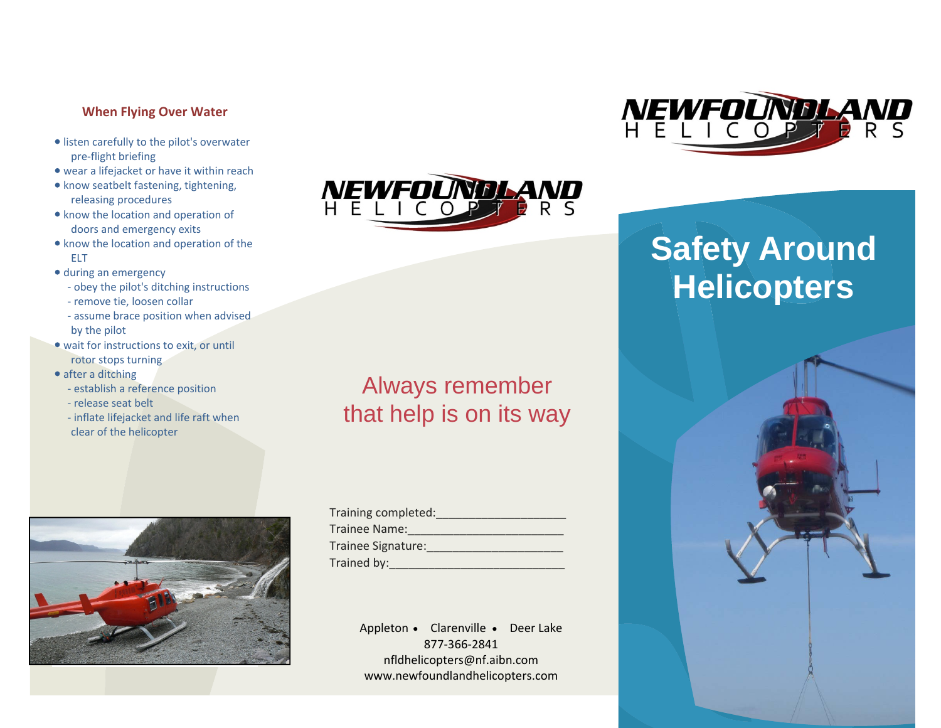# **When Flying Over Water**

- **•** listen carefully to the pilot's overwater pre‐flight briefing
- wear <sup>a</sup> lifejacket or have it within reach
- know seatbelt fastening, tightening, releasing procedures
- know the location and operation of doors and emergency exits
- know the location and operation of the ELT
- during an emergency
	- ‐ obey the pilot's ditching instructions
- ‐ remove tie, loosen collar
- ‐ assume brace position when advised by the pilot
- wait for instructions to exit, or until rotor stops turning
- after a ditching
- ‐ establish <sup>a</sup> reference position
- ‐ release seat belt
- ‐ inflate lifejacket and life raft when clear of the helicopter





# Always remember that help is on its way

Appleton • Clarenville • Deer Lake 877‐366‐2841nfldhelicopters@nf.aibn.com www.newfoundlandhelicopters.com



# **Safety Around Helicopters**